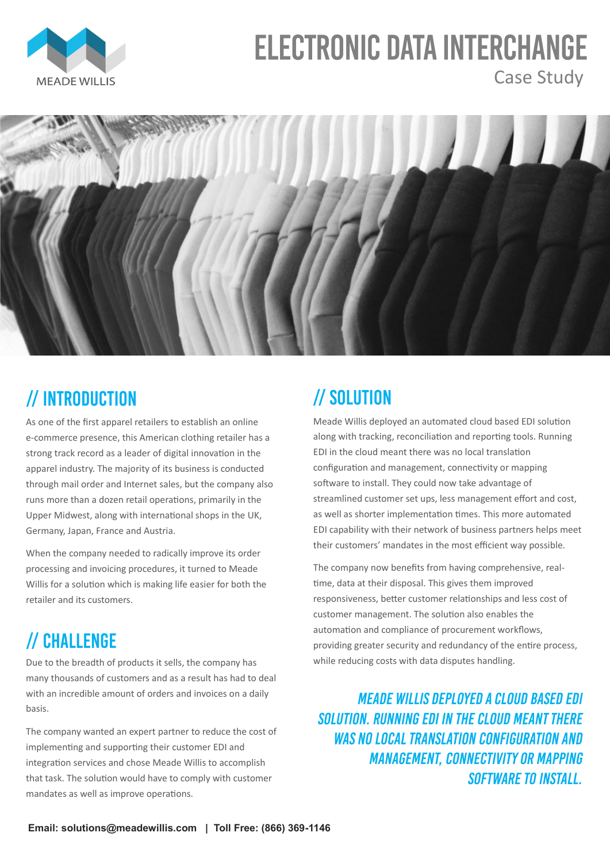Meade Willis deployed an automated cloud based EDI solution along with tracking, reconciliation and reporting tools. Running EDI in the cloud meant there was no local translation configuration and management, connectivity or mapping software to install. They could now take advantage of streamlined customer set ups, less management effort and cost, as well as shorter implementation times. This more automated EDI capability with their network of business partners helps meet their customers' mandates in the most efficient way possible.

Due to the breadth of products it sells, the company has while reducing costs with data disputes handling. many thousands of customers and as a result has had to deal with an incredible amount of orders and invoices on a daily basis.

The company now benefits from having comprehensive, realtime, data at their disposal. This gives them improved responsiveness, better customer relationships and less cost of customer management. The solution also enables the automation and compliance of procurement workflows, providing greater security and redundancy of the entire process,



# **ELECTRONIC DATA INTERCHANGE** Case Study



## // INTRODUCTION

// CHALLENGE

The company wanted an expert partner to reduce the cost of implementing and supporting their customer EDI and integration services and chose Meade Willis to accomplish that task. The solution would have to comply with customer mandates as well as improve operations.

As one of the first apparel retailers to establish an online e-commerce presence, this American clothing retailer has a strong track record as a leader of digital innovation in the apparel industry. The majority of its business is conducted through mail order and Internet sales, but the company also runs more than a dozen retail operations, primarily in the Upper Midwest, along with international shops in the UK, Germany, Japan, France and Austria.

When the company needed to radically improve its order processing and invoicing procedures, it turned to Meade Willis for a solution which is making life easier for both the retailer and its customers.

## // SOLUTION

**Email: solutions@meadewillis.com | Toll Free: (866) 369-1146** 

#### **MEADE WILLIS DEPLOYED A CLOUD BASED EDI SOLUTION. RUNNING EDI IN THE CLOUD MEANT THERE WAS NO LOCAL TRANSLATION CONFIGURATION AND MANAGEMENT, CONNECTIVITY OR MAPPING SOFTWARE TO INSTALL.**